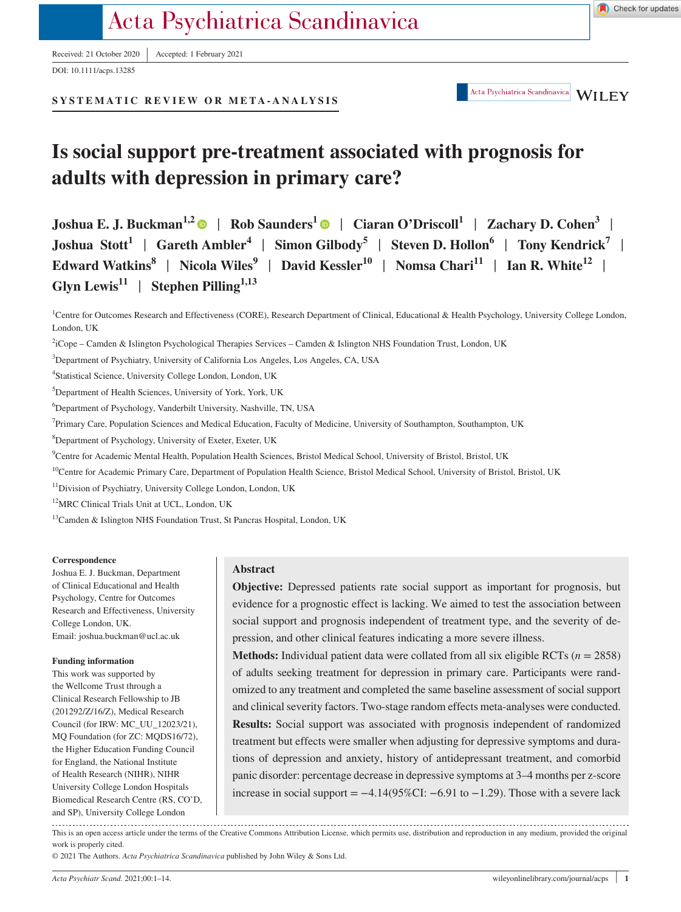Received: 21 October 2020 <sup>|</sup> Accepted: 1 February 2021

DOI: 10.1111/acps.13285

**SYSTEMATIC REVIEW OR META- ANALYSIS**

**Abstract**

**Objective:** Depressed patients rate social support as important for prognosis, but evidence for a prognostic effect is lacking. We aimed to test the association between social support and prognosis independent of treatment type, and the severity of depression, and other clinical features indicating a more severe illness.

**Methods:** Individual patient data were collated from all six eligible RCTs (*n* = 2858) of adults seeking treatment for depression in primary care. Participants were randomized to any treatment and completed the same baseline assessment of social support and clinical severity factors. Two-stage random effects meta-analyses were conducted. **Results:** Social support was associated with prognosis independent of randomized treatment but effects were smaller when adjusting for depressive symptoms and durations of depression and anxiety, history of antidepressant treatment, and comorbid

**Glyn Lewis<sup>11</sup>** | **Stephen Pilling1,13**

**Joshua E. J. Buckman**<sup>1,[2](https://orcid.org/0000-0002-2281-0907)</sup> | Rob Saunders<sup>1</sup> | Ciaran O'Driscoll<sup>1</sup> | Zachary D. Cohen<sup>3</sup> | **Joshua Stott<sup>1</sup>** | **Gareth Ambler4** | **Simon Gilbody5** | **Steven D. Hollon6** | **Tony Kendrick7** | **Edward Watkins<sup>8</sup> | Nicola Wiles<sup>9</sup> | David Kessler<sup>10</sup> | Nomsa Chari<sup>11</sup> | Ian R. White<sup>12</sup> |** 

**Is social support pre-treatment associated with prognosis for** 

<sup>1</sup>Centre for Outcomes Research and Effectiveness (CORE), Research Department of Clinical, Educational & Health Psychology, University College London, London, UK

2 iCope – Camden & Islington Psychological Therapies Services – Camden & Islington NHS Foundation Trust, London, UK

3 Department of Psychiatry, University of California Los Angeles, Los Angeles, CA, USA

**adults with depression in primary care?**

4 Statistical Science, University College London, London, UK

<sup>5</sup>Department of Health Sciences, University of York, York, UK

6 Department of Psychology, Vanderbilt University, Nashville, TN, USA

<sup>7</sup>Primary Care, Population Sciences and Medical Education, Faculty of Medicine, University of Southampton, Southampton, UK

8 Department of Psychology, University of Exeter, Exeter, UK

9 Centre for Academic Mental Health, Population Health Sciences, Bristol Medical School, University of Bristol, Bristol, UK

<sup>10</sup>Centre for Academic Primary Care, Department of Population Health Science, Bristol Medical School, University of Bristol, Bristol, UK

11Division of Psychiatry, University College London, London, UK

12MRC Clinical Trials Unit at UCL, London, UK

<sup>13</sup>Camden & Islington NHS Foundation Trust, St Pancras Hospital, London, UK

# **Funding information**

College London, UK.

**Correspondence**

Joshua E. J. Buckman, Department of Clinical Educational and Health Psychology, Centre for Outcomes Research and Effectiveness, University

Email: [joshua.buckman@ucl.ac.uk](mailto:joshua.buckman@ucl.ac.uk)

work is properly cited.

This work was supported by the Wellcome Trust through a Clinical Research Fellowship to JB (201292/Z/16/Z), Medical Research Council (for IRW: MC\_UU\_12023/21), MQ Foundation (for ZC: MQDS16/72), the Higher Education Funding Council for England, the National Institute of Health Research (NIHR), NIHR University College London Hospitals Biomedical Research Centre (RS, CO'D,

and SP), University College London

© 2021 The Authors. *Acta Psychiatrica Scandinavica* published by John Wiley & Sons Ltd.

panic disorder: percentage decrease in depressive symptoms at 3–4 months per z-score increase in social support = −4.14(95%CI: −6.91 to −1.29). Those with a severe lack

This is an open access article under the terms of the [Creative Commons Attribution](http://creativecommons.org/licenses/by/4.0/) License, which permits use, distribution and reproduction in any medium, provided the original

*Acta Psychiatr Scand.* 2021;00:1–14. [wileyonlinelibrary.com/journal/acps](www.wileyonlinelibrary.com/journal/acps) | **1**

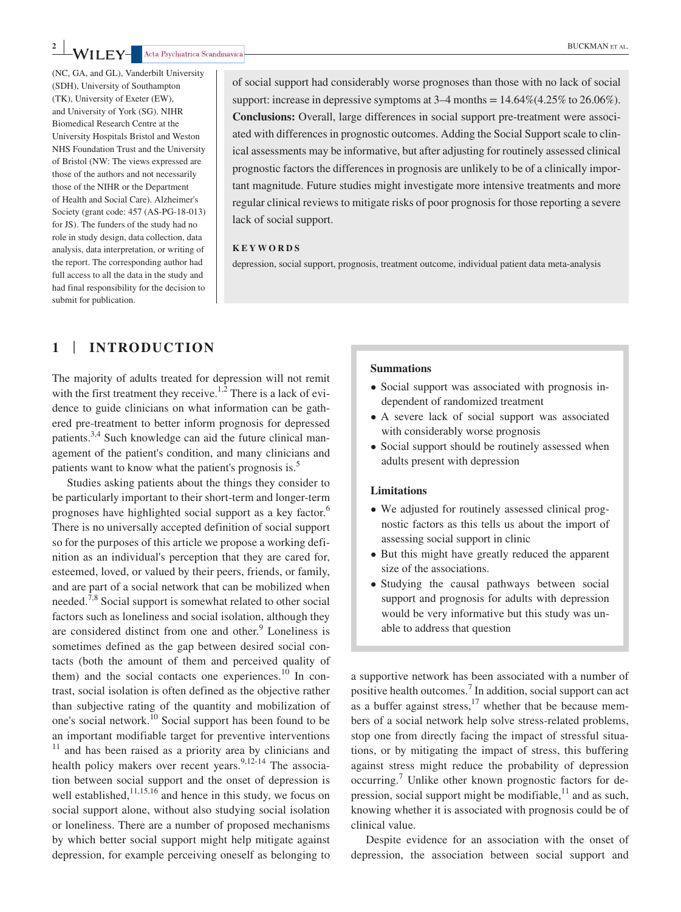(NC, GA, and GL), Vanderbilt University (SDH), University of Southampton (TK), University of Exeter (EW), and University of York (SG). NIHR Biomedical Research Centre at the University Hospitals Bristol and Weston NHS Foundation Trust and the University of Bristol (NW: The views expressed are those of the authors and not necessarily those of the NIHR or the Department of Health and Social Care). Alzheimer's Society (grant code: 457 (AS-PG-18-013) for JS). The funders of the study had no role in study design, data collection, data analysis, data interpretation, or writing of the report. The corresponding author had full access to all the data in the study and had final responsibility for the decision to submit for publication.

of social support had considerably worse prognoses than those with no lack of social support: increase in depressive symptoms at  $3-4$  months =  $14.64\%(4.25\%$  to  $26.06\%).$ **Conclusions:** Overall, large differences in social support pre-treatment were associated with differences in prognostic outcomes. Adding the Social Support scale to clinical assessments may be informative, but after adjusting for routinely assessed clinical prognostic factors the differences in prognosis are unlikely to be of a clinically important magnitude. Future studies might investigate more intensive treatments and more regular clinical reviews to mitigate risks of poor prognosis for those reporting a severe lack of social support.

#### **KEYWORDS**

depression, social support, prognosis, treatment outcome, individual patient data meta-analysis

# **1** | **INTRODUCTION**

The majority of adults treated for depression will not remit with the first treatment they receive.<sup>1,2</sup> There is a lack of evidence to guide clinicians on what information can be gathered pre-treatment to better inform prognosis for depressed patients.<sup>3,4</sup> Such knowledge can aid the future clinical management of the patient's condition, and many clinicians and patients want to know what the patient's prognosis is.<sup>5</sup>

Studies asking patients about the things they consider to be particularly important to their short-term and longer-term prognoses have highlighted social support as a key factor.<sup>6</sup> There is no universally accepted definition of social support so for the purposes of this article we propose a working definition as an individual's perception that they are cared for, esteemed, loved, or valued by their peers, friends, or family, and are part of a social network that can be mobilized when needed.<sup>7,8</sup> Social support is somewhat related to other social factors such as loneliness and social isolation, although they are considered distinct from one and other. $9$  Loneliness is sometimes defined as the gap between desired social contacts (both the amount of them and perceived quality of them) and the social contacts one experiences.<sup>10</sup> In contrast, social isolation is often defined as the objective rather than subjective rating of the quantity and mobilization of one's social network.<sup>10</sup> Social support has been found to be an important modifiable target for preventive interventions  $11$  and has been raised as a priority area by clinicians and health policy makers over recent years.<sup>9,12-14</sup> The association between social support and the onset of depression is well established,  $11,15,16$  and hence in this study, we focus on social support alone, without also studying social isolation or loneliness. There are a number of proposed mechanisms by which better social support might help mitigate against depression, for example perceiving oneself as belonging to

#### **Summations**

- Social support was associated with prognosis independent of randomized treatment
- A severe lack of social support was associated with considerably worse prognosis
- Social support should be routinely assessed when adults present with depression

#### **Limitations**

- We adjusted for routinely assessed clinical prognostic factors as this tells us about the import of assessing social support in clinic
- But this might have greatly reduced the apparent size of the associations.
- Studying the causal pathways between social support and prognosis for adults with depression would be very informative but this study was unable to address that question

a supportive network has been associated with a number of positive health outcomes.<sup>7</sup> In addition, social support can act as a buffer against stress, $17$  whether that be because members of a social network help solve stress-related problems, stop one from directly facing the impact of stressful situations, or by mitigating the impact of stress, this buffering against stress might reduce the probability of depression occurring.<sup>7</sup> Unlike other known prognostic factors for depression, social support might be modifiable, $11$  and as such, knowing whether it is associated with prognosis could be of clinical value.

Despite evidence for an association with the onset of depression, the association between social support and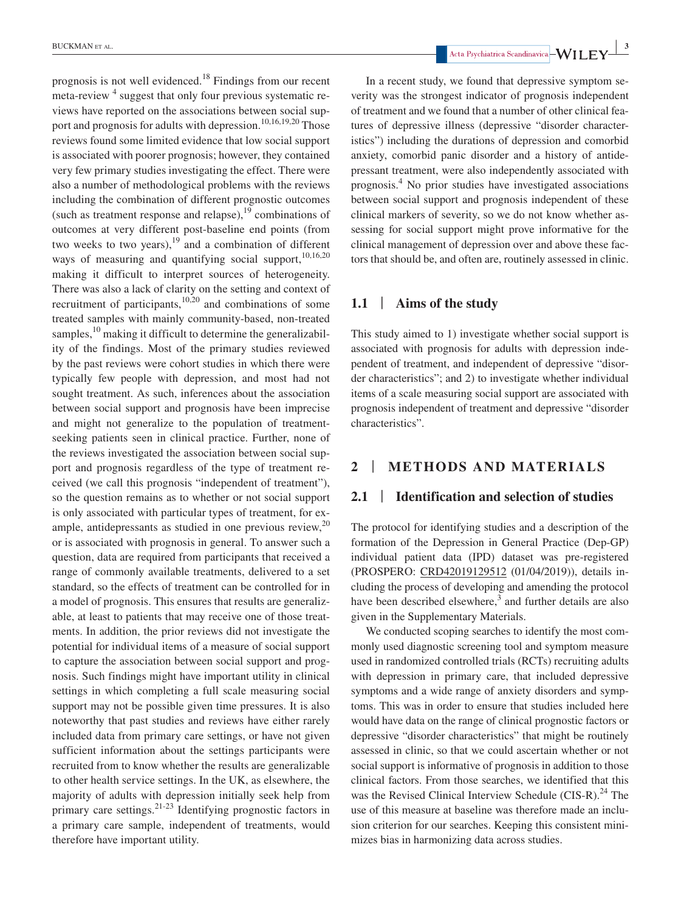prognosis is not well evidenced.18 Findings from our recent meta-review<sup>4</sup> suggest that only four previous systematic reviews have reported on the associations between social support and prognosis for adults with depression.<sup>10,16,19,20</sup> Those reviews found some limited evidence that low social support is associated with poorer prognosis; however, they contained very few primary studies investigating the effect. There were also a number of methodological problems with the reviews including the combination of different prognostic outcomes (such as treatment response and relapse), $^{19}$  combinations of outcomes at very different post-baseline end points (from two weeks to two years), $19$  and a combination of different ways of measuring and quantifying social support, $10,16,20$ making it difficult to interpret sources of heterogeneity. There was also a lack of clarity on the setting and context of recruitment of participants, $10,20$  and combinations of some treated samples with mainly community-based, non-treated samples, $^{10}$  making it difficult to determine the generalizability of the findings. Most of the primary studies reviewed by the past reviews were cohort studies in which there were typically few people with depression, and most had not sought treatment. As such, inferences about the association between social support and prognosis have been imprecise and might not generalize to the population of treatmentseeking patients seen in clinical practice. Further, none of the reviews investigated the association between social support and prognosis regardless of the type of treatment received (we call this prognosis "independent of treatment"), so the question remains as to whether or not social support is only associated with particular types of treatment, for example, antidepressants as studied in one previous review, $20$ or is associated with prognosis in general. To answer such a question, data are required from participants that received a range of commonly available treatments, delivered to a set standard, so the effects of treatment can be controlled for in a model of prognosis. This ensures that results are generalizable, at least to patients that may receive one of those treatments. In addition, the prior reviews did not investigate the potential for individual items of a measure of social support to capture the association between social support and prognosis. Such findings might have important utility in clinical settings in which completing a full scale measuring social support may not be possible given time pressures. It is also noteworthy that past studies and reviews have either rarely included data from primary care settings, or have not given sufficient information about the settings participants were recruited from to know whether the results are generalizable to other health service settings. In the UK, as elsewhere, the majority of adults with depression initially seek help from primary care settings.21-23 Identifying prognostic factors in a primary care sample, independent of treatments, would therefore have important utility.

 **BUCKMAN** ET AL. **3** Acta Psychiatrica Scandinavica  $-WILEY$ 

In a recent study, we found that depressive symptom severity was the strongest indicator of prognosis independent of treatment and we found that a number of other clinical features of depressive illness (depressive "disorder characteristics") including the durations of depression and comorbid anxiety, comorbid panic disorder and a history of antidepressant treatment, were also independently associated with prognosis.<sup>4</sup> No prior studies have investigated associations between social support and prognosis independent of these clinical markers of severity, so we do not know whether assessing for social support might prove informative for the clinical management of depression over and above these factors that should be, and often are, routinely assessed in clinic.

### **1.1** | **Aims of the study**

This study aimed to 1) investigate whether social support is associated with prognosis for adults with depression independent of treatment, and independent of depressive "disorder characteristics"; and 2) to investigate whether individual items of a scale measuring social support are associated with prognosis independent of treatment and depressive "disorder characteristics".

# **2** | **METHODS AND MATERIALS**

#### **2.1** | **Identification and selection of studies**

The protocol for identifying studies and a description of the formation of the Depression in General Practice (Dep-GP) individual patient data (IPD) dataset was pre-registered (PROSPERO: CRD42019129512 (01/04/2019)), details including the process of developing and amending the protocol have been described elsewhere, $3$  and further details are also given in the Supplementary Materials.

We conducted scoping searches to identify the most commonly used diagnostic screening tool and symptom measure used in randomized controlled trials (RCTs) recruiting adults with depression in primary care, that included depressive symptoms and a wide range of anxiety disorders and symptoms. This was in order to ensure that studies included here would have data on the range of clinical prognostic factors or depressive "disorder characteristics" that might be routinely assessed in clinic, so that we could ascertain whether or not social support is informative of prognosis in addition to those clinical factors. From those searches, we identified that this was the Revised Clinical Interview Schedule  $(CIS-R)<sup>24</sup>$  The use of this measure at baseline was therefore made an inclusion criterion for our searches. Keeping this consistent minimizes bias in harmonizing data across studies.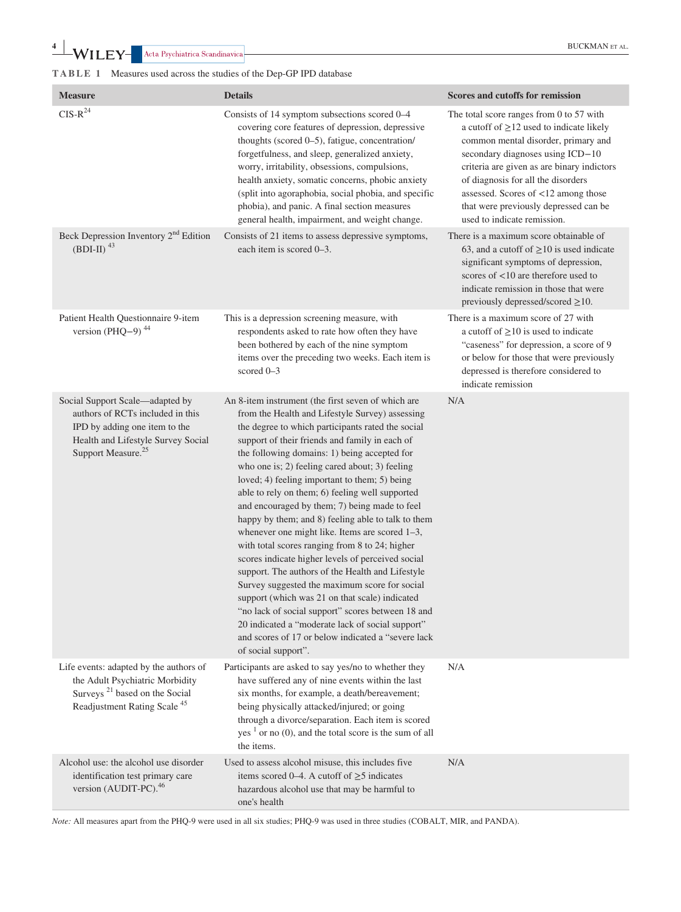| <b>Measure</b>                                                                                                                                                               | <b>Details</b>                                                                                                                                                                                                                                                                                                                                                                                                                                                                                                                                                                                                                                                                                                                                                                                                                                                                                                                                                                                                                  | Scores and cutoffs for remission                                                                                                                                                                                                                                                                                                                                        |
|------------------------------------------------------------------------------------------------------------------------------------------------------------------------------|---------------------------------------------------------------------------------------------------------------------------------------------------------------------------------------------------------------------------------------------------------------------------------------------------------------------------------------------------------------------------------------------------------------------------------------------------------------------------------------------------------------------------------------------------------------------------------------------------------------------------------------------------------------------------------------------------------------------------------------------------------------------------------------------------------------------------------------------------------------------------------------------------------------------------------------------------------------------------------------------------------------------------------|-------------------------------------------------------------------------------------------------------------------------------------------------------------------------------------------------------------------------------------------------------------------------------------------------------------------------------------------------------------------------|
| $\text{CIS-R}^{24}$                                                                                                                                                          | Consists of 14 symptom subsections scored 0-4<br>covering core features of depression, depressive<br>thoughts (scored 0-5), fatigue, concentration/<br>forgetfulness, and sleep, generalized anxiety,<br>worry, irritability, obsessions, compulsions,<br>health anxiety, somatic concerns, phobic anxiety<br>(split into agoraphobia, social phobia, and specific<br>phobia), and panic. A final section measures<br>general health, impairment, and weight change.                                                                                                                                                                                                                                                                                                                                                                                                                                                                                                                                                            | The total score ranges from 0 to 57 with<br>a cutoff of $\geq$ 12 used to indicate likely<br>common mental disorder, primary and<br>secondary diagnoses using ICD-10<br>criteria are given as are binary indictors<br>of diagnosis for all the disorders<br>assessed. Scores of <12 among those<br>that were previously depressed can be<br>used to indicate remission. |
| Beck Depression Inventory 2 <sup>nd</sup> Edition<br>$(BDI-II)$ <sup>43</sup>                                                                                                | Consists of 21 items to assess depressive symptoms,<br>each item is scored 0–3.                                                                                                                                                                                                                                                                                                                                                                                                                                                                                                                                                                                                                                                                                                                                                                                                                                                                                                                                                 | There is a maximum score obtainable of<br>63, and a cutoff of $\geq$ 10 is used indicate<br>significant symptoms of depression,<br>scores of $<$ 10 are therefore used to<br>indicate remission in those that were<br>previously depressed/scored $\geq$ 10.                                                                                                            |
| Patient Health Questionnaire 9-item<br>version (PHQ-9) $44$                                                                                                                  | This is a depression screening measure, with<br>respondents asked to rate how often they have<br>been bothered by each of the nine symptom<br>items over the preceding two weeks. Each item is<br>scored 0-3                                                                                                                                                                                                                                                                                                                                                                                                                                                                                                                                                                                                                                                                                                                                                                                                                    | There is a maximum score of 27 with<br>a cutoff of $\geq$ 10 is used to indicate<br>"caseness" for depression, a score of 9<br>or below for those that were previously<br>depressed is therefore considered to<br>indicate remission                                                                                                                                    |
| Social Support Scale-adapted by<br>authors of RCTs included in this<br>IPD by adding one item to the<br>Health and Lifestyle Survey Social<br>Support Measure. <sup>25</sup> | An 8-item instrument (the first seven of which are<br>from the Health and Lifestyle Survey) assessing<br>the degree to which participants rated the social<br>support of their friends and family in each of<br>the following domains: 1) being accepted for<br>who one is; 2) feeling cared about; 3) feeling<br>loved; 4) feeling important to them; 5) being<br>able to rely on them; 6) feeling well supported<br>and encouraged by them; 7) being made to feel<br>happy by them; and 8) feeling able to talk to them<br>whenever one might like. Items are scored 1-3,<br>with total scores ranging from 8 to 24; higher<br>scores indicate higher levels of perceived social<br>support. The authors of the Health and Lifestyle<br>Survey suggested the maximum score for social<br>support (which was 21 on that scale) indicated<br>"no lack of social support" scores between 18 and<br>20 indicated a "moderate lack of social support"<br>and scores of 17 or below indicated a "severe lack<br>of social support". | N/A                                                                                                                                                                                                                                                                                                                                                                     |
| Life events: adapted by the authors of<br>the Adult Psychiatric Morbidity<br>Surveys <sup>21</sup> based on the Social<br>Readjustment Rating Scale <sup>45</sup>            | Participants are asked to say yes/no to whether they<br>have suffered any of nine events within the last<br>six months, for example, a death/bereavement;<br>being physically attacked/injured; or going<br>through a divorce/separation. Each item is scored<br>$yes1$ or no (0), and the total score is the sum of all<br>the items.                                                                                                                                                                                                                                                                                                                                                                                                                                                                                                                                                                                                                                                                                          | N/A                                                                                                                                                                                                                                                                                                                                                                     |
| Alcohol use: the alcohol use disorder<br>identification test primary care<br>version (AUDIT-PC). <sup>46</sup>                                                               | Used to assess alcohol misuse, this includes five<br>items scored 0–4. A cutoff of $\geq$ 5 indicates<br>hazardous alcohol use that may be harmful to<br>one's health                                                                                                                                                                                                                                                                                                                                                                                                                                                                                                                                                                                                                                                                                                                                                                                                                                                           | N/A                                                                                                                                                                                                                                                                                                                                                                     |

*Note:* All measures apart from the PHQ-9 were used in all six studies; PHQ-9 was used in three studies (COBALT, MIR, and PANDA).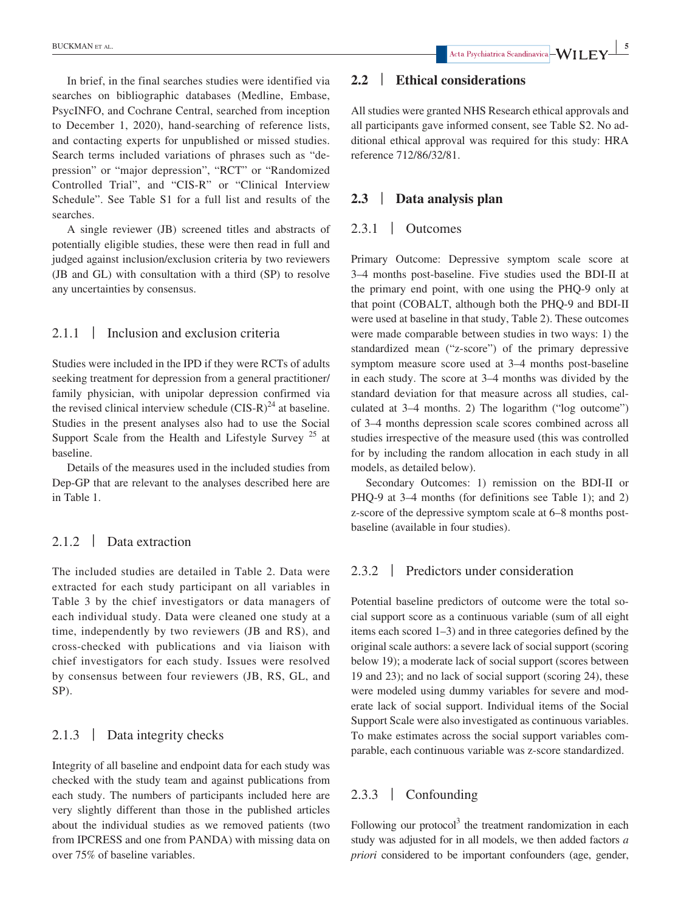In brief, in the final searches studies were identified via searches on bibliographic databases (Medline, Embase, PsycINFO, and Cochrane Central, searched from inception to December 1, 2020), hand-searching of reference lists, and contacting experts for unpublished or missed studies. Search terms included variations of phrases such as "depression" or "major depression", "RCT" or "Randomized Controlled Trial", and "CIS-R" or "Clinical Interview Schedule". See Table S1 for a full list and results of the searches.

A single reviewer (JB) screened titles and abstracts of potentially eligible studies, these were then read in full and judged against inclusion/exclusion criteria by two reviewers (JB and GL) with consultation with a third (SP) to resolve any uncertainties by consensus.

# 2.1.1 | Inclusion and exclusion criteria

Studies were included in the IPD if they were RCTs of adults seeking treatment for depression from a general practitioner/ family physician, with unipolar depression confirmed via the revised clinical interview schedule  $(CIS-R)^{24}$  at baseline. Studies in the present analyses also had to use the Social Support Scale from the Health and Lifestyle Survey  $25$  at baseline.

Details of the measures used in the included studies from Dep-GP that are relevant to the analyses described here are in Table 1.

# 2.1.2 | Data extraction

The included studies are detailed in Table 2. Data were extracted for each study participant on all variables in Table 3 by the chief investigators or data managers of each individual study. Data were cleaned one study at a time, independently by two reviewers (JB and RS), and cross-checked with publications and via liaison with chief investigators for each study. Issues were resolved by consensus between four reviewers (JB, RS, GL, and SP).

# 2.1.3 | Data integrity checks

Integrity of all baseline and endpoint data for each study was checked with the study team and against publications from each study. The numbers of participants included here are very slightly different than those in the published articles about the individual studies as we removed patients (two from IPCRESS and one from PANDA) with missing data on over 75% of baseline variables.

# **2.2** | **Ethical considerations**

All studies were granted NHS Research ethical approvals and all participants gave informed consent, see Table S2. No additional ethical approval was required for this study: HRA reference 712/86/32/81.

# **2.3** | **Data analysis plan**

# 2.3.1 | Outcomes

Primary Outcome: Depressive symptom scale score at 3–4 months post-baseline. Five studies used the BDI-II at the primary end point, with one using the PHQ-9 only at that point (COBALT, although both the PHQ-9 and BDI-II were used at baseline in that study, Table 2). These outcomes were made comparable between studies in two ways: 1) the standardized mean ("z-score") of the primary depressive symptom measure score used at 3–4 months post-baseline in each study. The score at 3–4 months was divided by the standard deviation for that measure across all studies, calculated at 3–4 months. 2) The logarithm ("log outcome") of 3–4 months depression scale scores combined across all studies irrespective of the measure used (this was controlled for by including the random allocation in each study in all models, as detailed below).

Secondary Outcomes: 1) remission on the BDI-II or PHQ-9 at 3–4 months (for definitions see Table 1); and 2) z-score of the depressive symptom scale at 6–8 months postbaseline (available in four studies).

### 2.3.2 | Predictors under consideration

Potential baseline predictors of outcome were the total social support score as a continuous variable (sum of all eight items each scored 1–3) and in three categories defined by the original scale authors: a severe lack of social support (scoring below 19); a moderate lack of social support (scores between 19 and 23); and no lack of social support (scoring 24), these were modeled using dummy variables for severe and moderate lack of social support. Individual items of the Social Support Scale were also investigated as continuous variables. To make estimates across the social support variables comparable, each continuous variable was z-score standardized.

# 2.3.3 | Confounding

Following our protocol<sup>3</sup> the treatment randomization in each study was adjusted for in all models, we then added factors *a priori* considered to be important confounders (age, gender,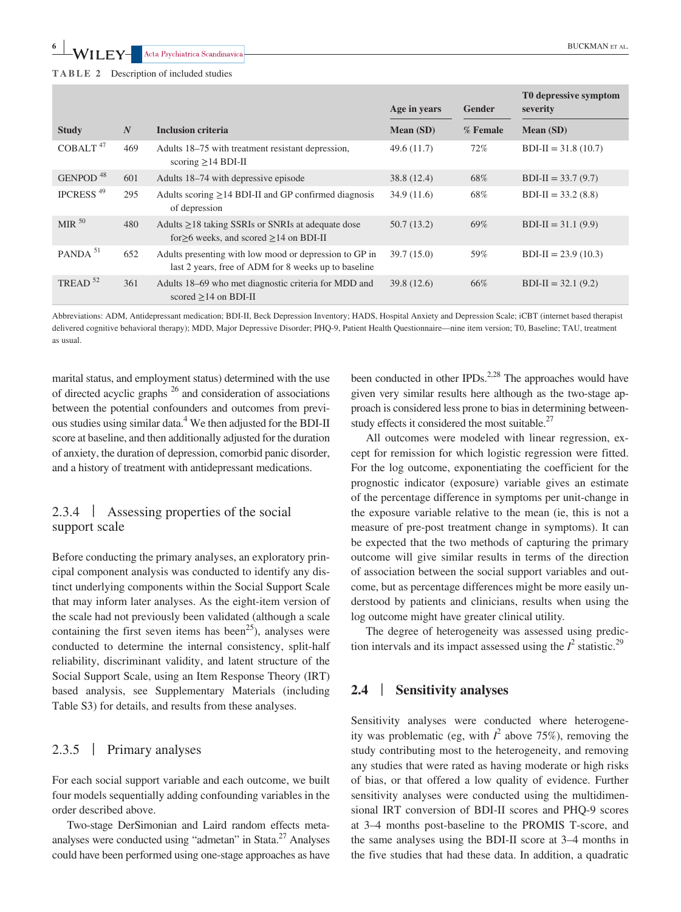**6 |**  $\bullet$  **|**  $\bullet$  **BUCKMAN** ET AL.

|  |  |  |  | TABLE 2 |  | Description of included studies |  |
|--|--|--|--|---------|--|---------------------------------|--|
|--|--|--|--|---------|--|---------------------------------|--|

|                       |     |                                                                                                                | Age in years | Gender   | T0 depressive symptom<br>severity |
|-----------------------|-----|----------------------------------------------------------------------------------------------------------------|--------------|----------|-----------------------------------|
| <b>Study</b>          | N   | <b>Inclusion criteria</b>                                                                                      | Mean (SD)    | % Female | Mean (SD)                         |
| COBALT <sup>47</sup>  | 469 | Adults 18-75 with treatment resistant depression,<br>scoring $\geq$ 14 BDI-II                                  | 49.6(11.7)   | $72\%$   | $BDI-II = 31.8(10.7)$             |
| GENPOD <sup>48</sup>  | 601 | Adults 18–74 with depressive episode                                                                           | 38.8(12.4)   | 68%      | $BDI-II = 33.7(9.7)$              |
| IPCRESS <sup>49</sup> | 295 | Adults scoring $\geq$ 14 BDI-II and GP confirmed diagnosis<br>of depression                                    | 34.9(11.6)   | 68%      | $BDI-II = 33.2(8.8)$              |
| MIR $50$              | 480 | Adults $\geq$ 18 taking SSRIs or SNRIs at adequate dose<br>for $\geq$ 6 weeks, and scored $\geq$ 14 on BDI-II  | 50.7(13.2)   | 69%      | $BDI-II = 31.1(9.9)$              |
| PANDA <sup>51</sup>   | 652 | Adults presenting with low mood or depression to GP in<br>last 2 years, free of ADM for 8 weeks up to baseline | 39.7 (15.0)  | 59%      | $BDI-II = 23.9(10.3)$             |
| TREAD <sup>52</sup>   | 361 | Adults 18–69 who met diagnostic criteria for MDD and<br>scored $\geq$ 14 on BDI-II                             | 39.8(12.6)   | 66%      | $BDI-II = 32.1(9.2)$              |

Abbreviations: ADM, Antidepressant medication; BDI-II, Beck Depression Inventory; HADS, Hospital Anxiety and Depression Scale; iCBT (internet based therapist delivered cognitive behavioral therapy); MDD, Major Depressive Disorder; PHQ-9, Patient Health Questionnaire—nine item version; T0, Baseline; TAU, treatment as usual.

marital status, and employment status) determined with the use of directed acyclic graphs <sup>26</sup> and consideration of associations between the potential confounders and outcomes from previous studies using similar data.<sup>4</sup> We then adjusted for the BDI-II score at baseline, and then additionally adjusted for the duration of anxiety, the duration of depression, comorbid panic disorder, and a history of treatment with antidepressant medications.

# 2.3.4 | Assessing properties of the social support scale

Before conducting the primary analyses, an exploratory principal component analysis was conducted to identify any distinct underlying components within the Social Support Scale that may inform later analyses. As the eight-item version of the scale had not previously been validated (although a scale containing the first seven items has been<sup>25</sup>), analyses were conducted to determine the internal consistency, split-half reliability, discriminant validity, and latent structure of the Social Support Scale, using an Item Response Theory (IRT) based analysis, see Supplementary Materials (including Table S3) for details, and results from these analyses.

# 2.3.5 | Primary analyses

For each social support variable and each outcome, we built four models sequentially adding confounding variables in the order described above.

Two-stage DerSimonian and Laird random effects metaanalyses were conducted using "admetan" in Stata.<sup>27</sup> Analyses could have been performed using one-stage approaches as have

been conducted in other IPDs.<sup>2,28</sup> The approaches would have given very similar results here although as the two-stage approach is considered less prone to bias in determining betweenstudy effects it considered the most suitable. $27$ 

All outcomes were modeled with linear regression, except for remission for which logistic regression were fitted. For the log outcome, exponentiating the coefficient for the prognostic indicator (exposure) variable gives an estimate of the percentage difference in symptoms per unit-change in the exposure variable relative to the mean (ie, this is not a measure of pre-post treatment change in symptoms). It can be expected that the two methods of capturing the primary outcome will give similar results in terms of the direction of association between the social support variables and outcome, but as percentage differences might be more easily understood by patients and clinicians, results when using the log outcome might have greater clinical utility.

The degree of heterogeneity was assessed using prediction intervals and its impact assessed using the  $I^2$  statistic.<sup>29</sup>

# **2.4** | **Sensitivity analyses**

Sensitivity analyses were conducted where heterogeneity was problematic (eg, with  $I^2$  above 75%), removing the study contributing most to the heterogeneity, and removing any studies that were rated as having moderate or high risks of bias, or that offered a low quality of evidence. Further sensitivity analyses were conducted using the multidimensional IRT conversion of BDI-II scores and PHQ-9 scores at 3–4 months post-baseline to the PROMIS T-score, and the same analyses using the BDI-II score at 3–4 months in the five studies that had these data. In addition, a quadratic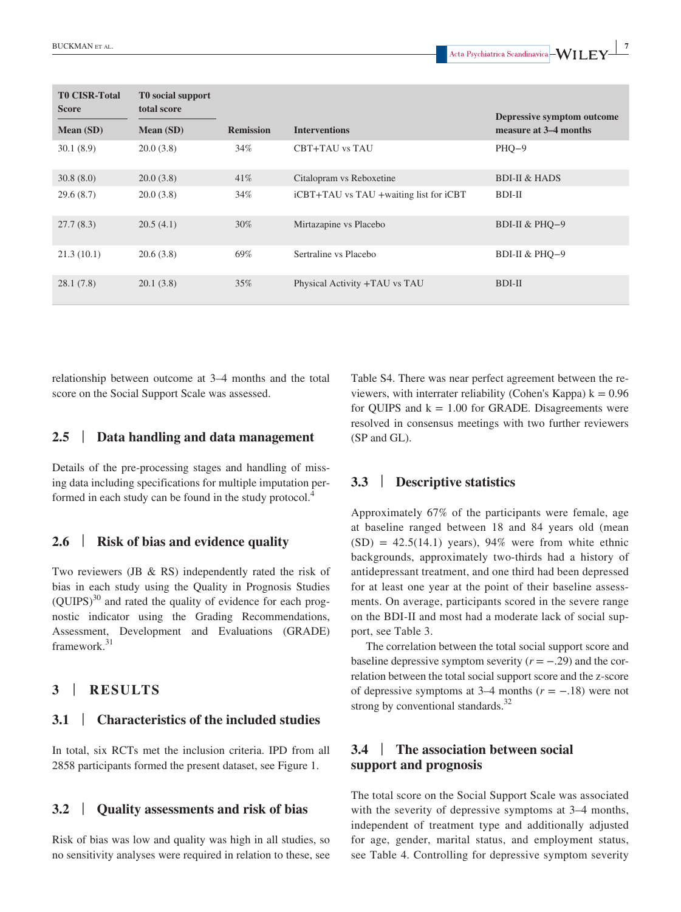| <b>T0 CISR-Total</b><br><b>Score</b><br>Mean (SD) | T0 social support<br>total score<br>Mean (SD) | <b>Remission</b> | <b>Interventions</b>                   | Depressive symptom outcome<br>measure at 3–4 months |
|---------------------------------------------------|-----------------------------------------------|------------------|----------------------------------------|-----------------------------------------------------|
| 30.1(8.9)                                         | 20.0(3.8)                                     | 34%              | CBT+TAU vs TAU                         | $PHQ-9$                                             |
| 30.8(8.0)                                         | 20.0(3.8)                                     | 41%              | Citalopram vs Reboxetine               | <b>BDI-II &amp; HADS</b>                            |
| 29.6(8.7)                                         | 20.0(3.8)                                     | 34%              | iCBT+TAU vs TAU +waiting list for iCBT | BDI-II                                              |
| 27.7(8.3)                                         | 20.5(4.1)                                     | 30%              | Mirtazapine vs Placebo                 | BDI-II & PHQ-9                                      |
| 21.3(10.1)                                        | 20.6(3.8)                                     | 69%              | Sertraline vs Placebo                  | BDI-II & PHQ-9                                      |
| 28.1(7.8)                                         | 20.1(3.8)                                     | 35%              | Physical Activity +TAU vs TAU          | BDI-II                                              |

relationship between outcome at 3–4 months and the total score on the Social Support Scale was assessed.

#### **2.5** | **Data handling and data management**

Details of the pre-processing stages and handling of missing data including specifications for multiple imputation performed in each study can be found in the study protocol.<sup>4</sup>

#### **2.6** | **Risk of bias and evidence quality**

Two reviewers (JB & RS) independently rated the risk of bias in each study using the Quality in Prognosis Studies  $(OUIPS)^{30}$  and rated the quality of evidence for each prognostic indicator using the Grading Recommendations, Assessment, Development and Evaluations (GRADE) framework.<sup>31</sup>

### **3** | **RESULTS**

#### **3.1** | **Characteristics of the included studies**

In total, six RCTs met the inclusion criteria. IPD from all 2858 participants formed the present dataset, see Figure 1.

#### **3.2** | **Quality assessments and risk of bias**

Risk of bias was low and quality was high in all studies, so no sensitivity analyses were required in relation to these, see

Table S4. There was near perfect agreement between the reviewers, with interrater reliability (Cohen's Kappa)  $k = 0.96$ for OUIPS and  $k = 1.00$  for GRADE. Disagreements were resolved in consensus meetings with two further reviewers (SP and GL).

# **3.3** | **Descriptive statistics**

Approximately 67% of the participants were female, age at baseline ranged between 18 and 84 years old (mean  $(SD) = 42.5(14.1)$  years), 94% were from white ethnic backgrounds, approximately two-thirds had a history of antidepressant treatment, and one third had been depressed for at least one year at the point of their baseline assessments. On average, participants scored in the severe range on the BDI-II and most had a moderate lack of social support, see Table 3.

The correlation between the total social support score and baseline depressive symptom severity  $(r = -.29)$  and the correlation between the total social support score and the z-score of depressive symptoms at 3–4 months (*r* = −.18) were not strong by conventional standards.<sup>32</sup>

# **3.4** | **The association between social support and prognosis**

The total score on the Social Support Scale was associated with the severity of depressive symptoms at 3–4 months, independent of treatment type and additionally adjusted for age, gender, marital status, and employment status, see Table 4. Controlling for depressive symptom severity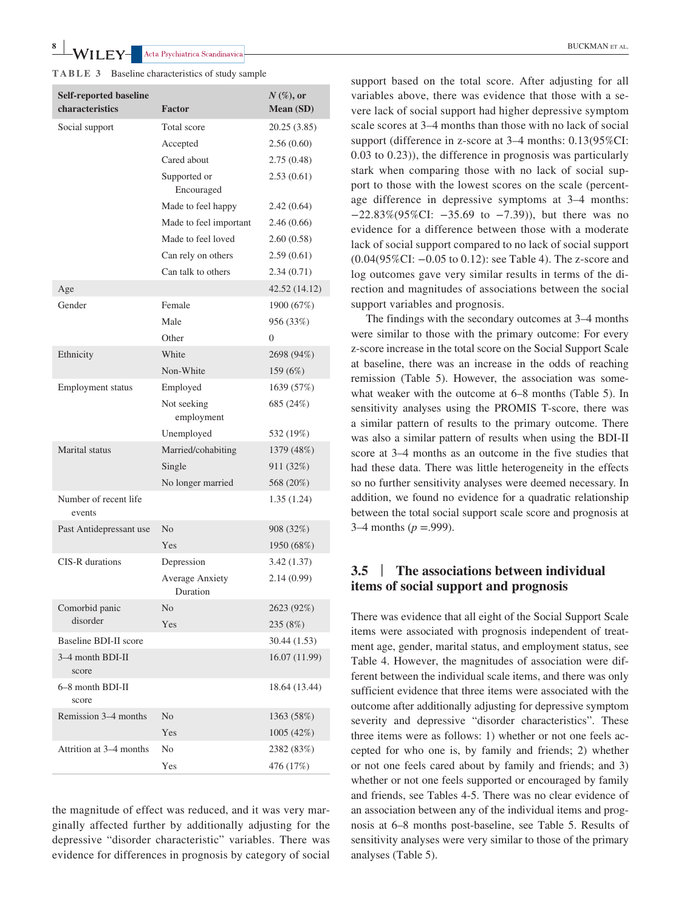**WILEY** Acta Psychiatrica Scandinavica **BUCKMAN** ET AL.

**TABLE 3** Baseline characteristics of study sample

| <b>Self-reported baseline</b><br>characteristics | <b>Factor</b>                      | $N$ (%), or<br>Mean (SD) |
|--------------------------------------------------|------------------------------------|--------------------------|
| Social support                                   | Total score                        | 20.25 (3.85)             |
|                                                  | Accepted                           | 2.56(0.60)               |
|                                                  | Cared about                        | 2.75(0.48)               |
|                                                  | Supported or<br>Encouraged         | 2.53(0.61)               |
|                                                  | Made to feel happy                 | 2.42(0.64)               |
|                                                  | Made to feel important             | 2.46(0.66)               |
|                                                  | Made to feel loved                 | 2.60(0.58)               |
|                                                  | Can rely on others                 | 2.59(0.61)               |
|                                                  | Can talk to others                 | 2.34(0.71)               |
| Age                                              |                                    | 42.52 (14.12)            |
| Gender                                           | Female                             | 1900 (67%)               |
|                                                  | Male                               | 956 (33%)                |
|                                                  | Other                              | $\Omega$                 |
| Ethnicity                                        | White                              | 2698 (94%)               |
|                                                  | Non-White                          | 159 (6%)                 |
| Employment status                                | Employed                           | 1639 (57%)               |
|                                                  | Not seeking<br>employment          | 685 (24%)                |
|                                                  | Unemployed                         | 532 (19%)                |
| Marital status                                   | Married/cohabiting                 | 1379 (48%)               |
|                                                  | Single                             | 911 (32%)                |
|                                                  | No longer married                  | 568 (20%)                |
| Number of recent life<br>events                  |                                    | 1.35(1.24)               |
| Past Antidepressant use                          | N <sub>0</sub>                     | 908 (32%)                |
|                                                  | Yes                                | 1950 (68%)               |
| CIS-R durations                                  | Depression                         | 3.42(1.37)               |
|                                                  | <b>Average Anxiety</b><br>Duration | 2.14(0.99)               |
| Comorbid panic                                   | No                                 | 2623 (92%)               |
| disorder                                         | Yes                                | 235 (8%)                 |
| Baseline BDI-II score                            |                                    | 30.44 (1.53)             |
| 3–4 month BDI-II<br>score                        |                                    | 16.07 (11.99)            |
| 6–8 month BDI-II<br>score                        |                                    | 18.64 (13.44)            |
| Remission 3–4 months                             | No                                 | 1363 (58%)               |
|                                                  | Yes                                | 1005 (42%)               |
| Attrition at 3–4 months                          | No                                 | 2382 (83%)               |
|                                                  | Yes                                | 476 (17%)                |

the magnitude of effect was reduced, and it was very marginally affected further by additionally adjusting for the depressive "disorder characteristic" variables. There was evidence for differences in prognosis by category of social

support based on the total score. After adjusting for all variables above, there was evidence that those with a severe lack of social support had higher depressive symptom scale scores at 3–4 months than those with no lack of social support (difference in z-score at 3–4 months: 0.13(95%CI: 0.03 to 0.23)), the difference in prognosis was particularly stark when comparing those with no lack of social support to those with the lowest scores on the scale (percentage difference in depressive symptoms at 3–4 months: −22.83%(95%CI: −35.69 to −7.39)), but there was no evidence for a difference between those with a moderate lack of social support compared to no lack of social support (0.04(95%CI: −0.05 to 0.12): see Table 4). The z-score and log outcomes gave very similar results in terms of the direction and magnitudes of associations between the social support variables and prognosis.

The findings with the secondary outcomes at 3–4 months were similar to those with the primary outcome: For every z-score increase in the total score on the Social Support Scale at baseline, there was an increase in the odds of reaching remission (Table 5). However, the association was somewhat weaker with the outcome at 6–8 months (Table 5). In sensitivity analyses using the PROMIS T-score, there was a similar pattern of results to the primary outcome. There was also a similar pattern of results when using the BDI-II score at 3–4 months as an outcome in the five studies that had these data. There was little heterogeneity in the effects so no further sensitivity analyses were deemed necessary. In addition, we found no evidence for a quadratic relationship between the total social support scale score and prognosis at 3–4 months (*p* =.999).

# **3.5** | **The associations between individual items of social support and prognosis**

There was evidence that all eight of the Social Support Scale items were associated with prognosis independent of treatment age, gender, marital status, and employment status, see Table 4. However, the magnitudes of association were different between the individual scale items, and there was only sufficient evidence that three items were associated with the outcome after additionally adjusting for depressive symptom severity and depressive "disorder characteristics". These three items were as follows: 1) whether or not one feels accepted for who one is, by family and friends; 2) whether or not one feels cared about by family and friends; and 3) whether or not one feels supported or encouraged by family and friends, see Tables 4-5. There was no clear evidence of an association between any of the individual items and prognosis at 6–8 months post-baseline, see Table 5. Results of sensitivity analyses were very similar to those of the primary analyses (Table 5).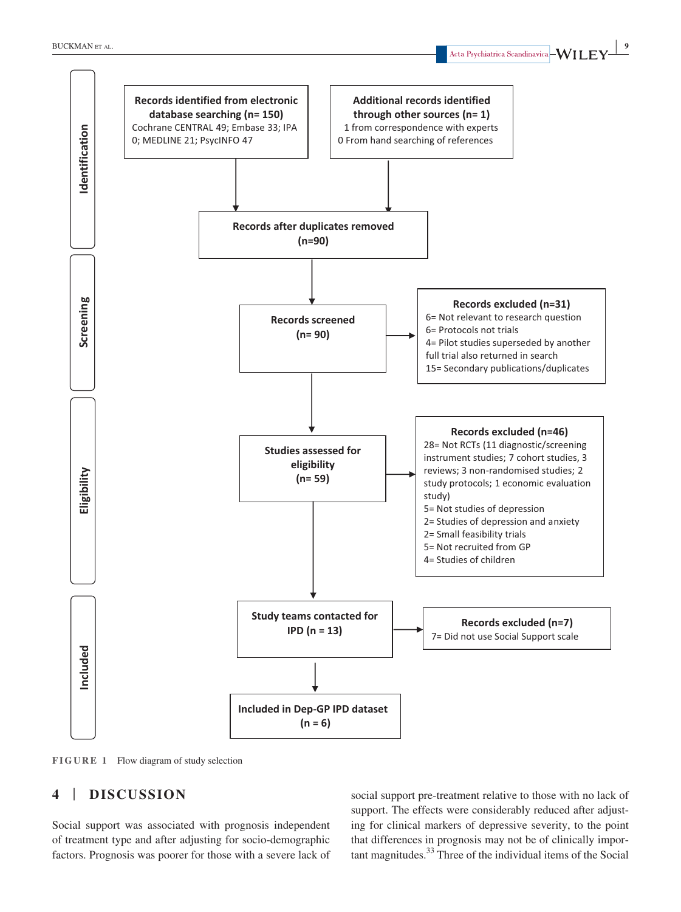

**FIGURE 1** Flow diagram of study selection

# **4** | **DISCUSSION**

Social support was associated with prognosis independent of treatment type and after adjusting for socio-demographic factors. Prognosis was poorer for those with a severe lack of social support pre-treatment relative to those with no lack of support. The effects were considerably reduced after adjusting for clinical markers of depressive severity, to the point that differences in prognosis may not be of clinically important magnitudes.33 Three of the individual items of the Social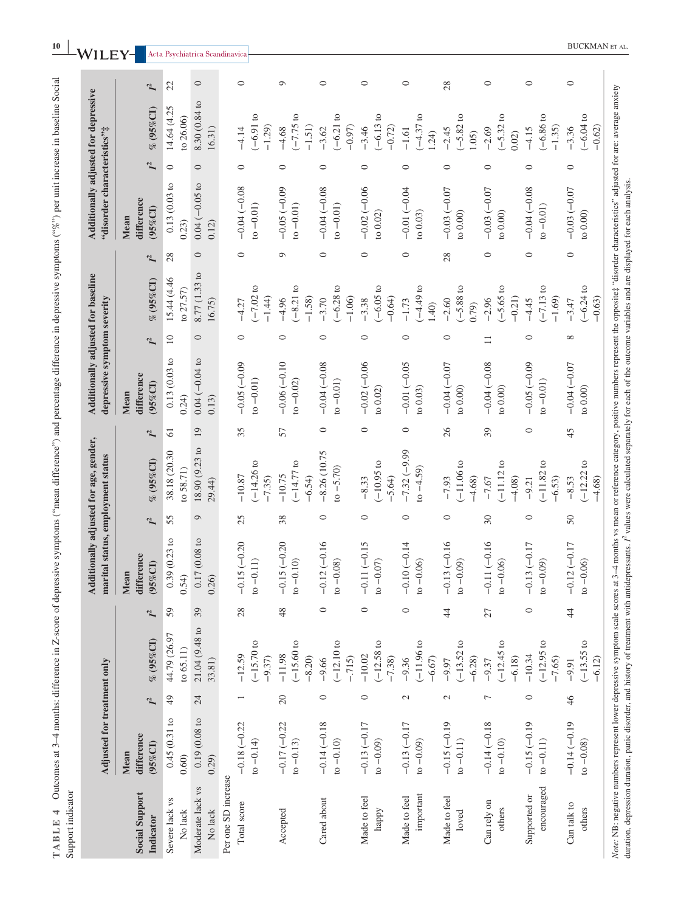|                                    | Adjusted for treatment only       |                 |                                      |                 | marital status, employment status   |               | Additionally adjusted for age, gender, |                 | Additionally adjusted for baseline<br>depressive symptom severity |                 |                                     |                | Additionally adjusted for depressive<br>"disorder characteristics"# |               |                                    |                |
|------------------------------------|-----------------------------------|-----------------|--------------------------------------|-----------------|-------------------------------------|---------------|----------------------------------------|-----------------|-------------------------------------------------------------------|-----------------|-------------------------------------|----------------|---------------------------------------------------------------------|---------------|------------------------------------|----------------|
| <b>Social Support</b><br>Indicator | difference<br>$(95\%$ CI)<br>Mean | $\mathcal{I}^2$ | % (95%CI)                            | $\mathbf{I}^2$  | difference<br>(95%CI)<br>Mean       | $\mathcal{L}$ | % (95%CI)                              | $\mathcal{I}^2$ | difference<br>$(95\%$ CI)<br>Mean                                 | $\mathcal{I}^2$ | % (95%CI)                           | I <sup>2</sup> | difference<br>(95%CI)<br>Mean                                       | $\mathcal{L}$ | $% (95\% CI)$                      | I <sup>2</sup> |
| Severe lack vs<br>No lack          | 0.45(0.31)<br>0.60)               | $\frac{49}{5}$  | 44.79 (26.97<br>to $65.11$           | 59              | $(0.23~{\rm to}$<br>0.39<br>0.54)   | 55            | 38.18 (20.30<br>$to$ 58.71)            | $\overline{61}$ | $0.13\ (0.03$ to<br>0.24)                                         | $\overline{10}$ | 15.44 (4.46<br>to 27.57)            | 28             | 0.13(0.03 to<br>(0.23)                                              | $\circ$       | 14.64 (4.25<br>to 26.06)           | 22             |
| Moderate lack vs<br>No lack        | 0.19(0.08 to<br>0.29)             | 24              | 21.04 (9.48 to<br>33.81)             | 39              | (0.08)<br>0.17<br>0.26)             | $\circ$       | 18.90 (9.23 to<br>29.44)               | 19              | $0.04 (-0.04 to$<br>0.13)                                         | $\circ$         | 8.77 (1.33 to<br>16.75)             | $\circ$        | $0.04 (-0.05 to$<br>0.12)                                           | $\circ$       | 8.30 (0.84 to<br>16.31)            | $\circ$        |
| Per one SD increase                |                                   |                 |                                      |                 |                                     |               |                                        |                 |                                                                   |                 |                                     |                |                                                                     |               |                                    |                |
| Total score                        | $-0.18(-0.22)$<br>$to -0.14)$     |                 | $(-15.70)$ to<br>$-12.59$<br>$-9.37$ | 28              | $(-0.20)$<br>$to -0.11)$<br>$-0.15$ | 25            | $(-14.26)$<br>$-10.87$<br>$-7.35$      | 35              | $-0.05(-0.09$<br>$to -0.01)$                                      | $\circ$         | $-7.02$ to<br>$-1.44$<br>$-4.27$    | $\circ$        | $-0.04(-0.08$<br>$to -0.01)$                                        | $\circ$       | $(-6.91)$ to<br>$-1.29$<br>$-4.14$ | $\circ$        |
| Accepted                           | $-0.17(-0.22)$<br>$to -0.13)$     | $20\,$          | $-15.60$ to<br>$-11.98$<br>$-8.20$   | 48              | $-0.15(-0.20)$<br>$to -0.10$        | 38            | $(-14.77 to$<br>$-10.75$<br>$-6.54$    | 57              | $-0.06(-0.10)$<br>$to -0.02)$                                     | $\circ$         | $(-8.21)$<br>$-1.58$<br>$-4.96$     | $\circ$        | $-0.05(-0.09$<br>$to -0.01)$                                        | $\circ$       | $(-7.75)$<br>$-1.51)$<br>$-4.68$   | $\circ$        |
| Cared about                        | $-0.14 (-0.18$<br>$to -0.10)$     | $\circ$         | $(-12.10)$<br>$-.715$<br>$-9.66$     | $\circ$         | $-0.12(-0.16$<br>$to -0.08)$        | $\circ$       | $-8.26(10.75$<br>$to -5.70$            | $\circ$         | $-0.04(-0.08$<br>$to -0.01)$                                      | $\circ$         | $(-6.28)$<br>$-1.06$<br>$-3.70$     | $\circ$        | $-0.04(-0.08$<br>$to -0.01)$                                        | $\circ$       | $(-6.21)$<br>$-0.97$<br>$-3.62$    | $\circ$        |
| Made to feel<br>happy              | $-0.13(-0.17)$<br>$to -0.09)$     | $\circ$         | $(-12.58)$<br>$-10.02$<br>$-7.38$    | $\circ$         | $(-0.15)$<br>$to -0.07$<br>$-0.11$  | $\circ$       | $(-10.95)$<br>$-5.64$<br>$-8.33$       | $\circ$         | $-0.02(-0.06$<br>to $0.02)$                                       | $\circ$         | $-6.05$ to<br>$-0.64$<br>$-3.38$    | $\circ$        | $-0.02(-0.06$<br>to $0.02)$                                         | $\circ$       | $(-6.13)$<br>$-0.72$<br>$-3.46$    | $\circ$        |
| important<br>Made to feel          | $-0.13(-0.17)$<br>$to -0.09)$     | $\mathcal{L}$   | $(-11.96)$<br>$-6.67$<br>$-9.36$     | $\circ$         | $-0.10(-0.14$<br>$to -0.06$         | $\circ$       | $-7.32(-9.99)$<br>$to -4.59)$          | $\circ$         | $-0.01(-0.05$<br>to $0.03$                                        | $\circ$         | $-4.49$ to<br>$-1.73$<br>1.40       | $\circ$        | $-0.01(-0.04$<br>to $0.03$                                          | $\circ$       | $(-4.37)$ to<br>$-1.61$<br>1.24    | $\circ$        |
| Made to feel<br>loved              | $-0.15(-0.19)$<br>$to -0.11)$     | $\mathcal{L}$   | $(-13.52)$<br>$-6.28$<br>$-9.97$     | $\ddot{4}$      | $-0.13(-0.16$<br>$_{t0} - 0.09$     | $\circ$       | $(-11.06 t$<br>$-7.93$<br>$-4.68$      | 26              | $-0.04(-0.07)$<br>to $0.00)$                                      | $\circ$         | $(-5.88)$ to<br>$-2.60$<br>(67, 70) | 28             | $-0.03(-0.07)$<br>to $0.00)$                                        | $\circ$       | $-5.82$ to<br>$-2.45$<br>1.05      | 28             |
| Can rely on<br>others              | $-0.14(-0.18$<br>$to -0.10)$      | $\overline{ }$  | $(-12.45)$<br>$-6.18$<br>$-9.37$     | $\overline{27}$ | $-0.11(-0.16$<br>$to -0.06$         | 30            | $(-11.12)$<br>$-4.08$<br>$-7.67$       | 39              | $-0.04(-0.08$<br>to $0.00)$                                       | $\Box$          | $(-5.65)$ to<br>$-0.21$<br>$-2.96$  | $\circ$        | $-0.03(-0.07)$<br>to $0.00)$                                        | 0             | $(-5.32)$<br>$-2.69$<br>0.02)      | $\circ$        |
| encouraged<br>Supported or         | $-0.15(-0.19)$<br>$to -0.11)$     | $\circ$         | $(-12.95 t)$<br>$-10.34$<br>$-7.65$  | $\circ$         | $-0.13(-0.17)$<br>$_{t0} - 0.09$    | $\circ$       | $(-11.82)$<br>$-6.53$<br>$-9.21$       | $\circ$         | $-0.05(-0.09)$<br>$to -0.01)$                                     | $\circ$         | $(-7.13)$<br>$-1.69$<br>$-4.45$     | $\circ$        | $-0.04(-0.08$<br>$to -0.01)$                                        | $\circ$       | $(-6.86)$<br>$-1.35$<br>$-4.15$    | $\circ$        |
| Can talk to<br>others              | $-0.14(-0.19)$<br>$to -0.08$      | 46              | $(-13.55)$<br>$-6.12$<br>$-9.91$     | $\frac{4}{4}$   | $-0.12(-0.17)$<br>$to -0.06$        | $50\,$        | $(-12.22)$<br>$-8.53$<br>$-4.68$       | 45              | $-0.04(-0.07)$<br>to $0.00$                                       | $\infty$        | $(-6.24)$<br>$-0.63$<br>$-3.47$     | $\circ$        | $-0.03(-0.07)$<br>to $0.00$                                         | $\circ$       | $(-6.04)$<br>$-0.62$<br>$-3.36$    | $\circ$        |

**TABLE 4** Outcomes at 3–4 months: difference in Z-score of depressive symptoms ("mean difference") and percentage difference in depressive symptoms ("%") per unit increase in baseline Social

TABLE 4 Outcomes at 3-4 months: difference in Z-score of depressive symptoms ("mean difference") and percentage difference in depressive symptoms ("%") per unit increase in baseline Social

a l .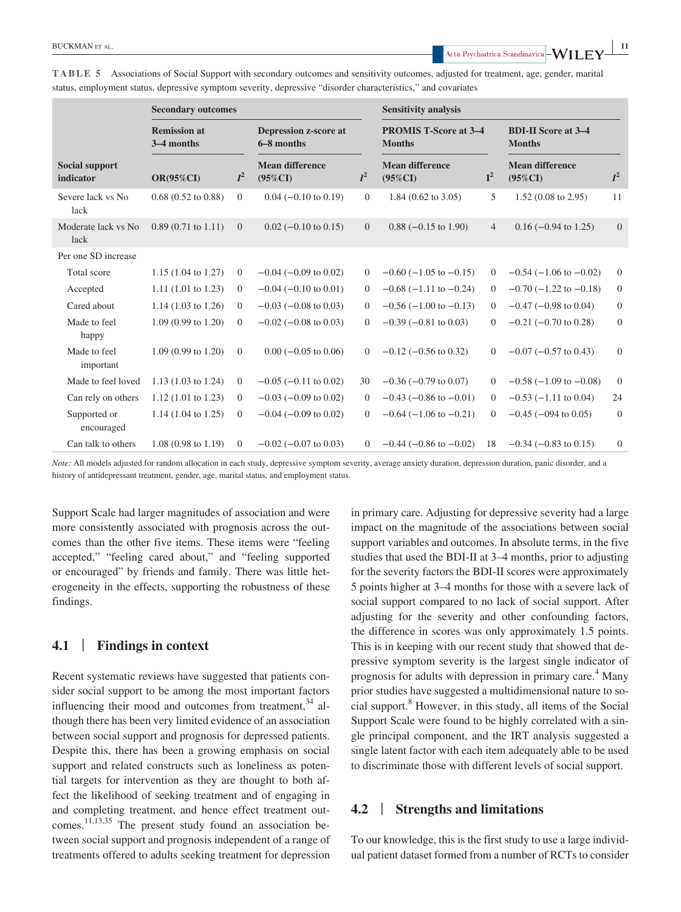**|** BUCKMAN et al. **<sup>11</sup>**

|                                    | <b>Secondary outcomes</b>         |                |                                            |                | <b>Sensitivity analysis</b>                   |                |                                             |                |  |  |
|------------------------------------|-----------------------------------|----------------|--------------------------------------------|----------------|-----------------------------------------------|----------------|---------------------------------------------|----------------|--|--|
|                                    | <b>Remission at</b><br>3-4 months |                | <b>Depression z-score at</b><br>6-8 months |                | <b>PROMIS T-Score at 3-4</b><br><b>Months</b> |                | <b>BDI-II Score at 3-4</b><br><b>Months</b> |                |  |  |
| <b>Social support</b><br>indicator | <b>OR(95%CI)</b>                  | $I^2$          | <b>Mean difference</b><br>$(95\%CI)$       | $I^2$          | <b>Mean difference</b><br>$(95\%CI)$          | $I^2$          | <b>Mean difference</b><br>$(95\%CI)$        | $I^2$          |  |  |
| Severe lack vs No<br>lack          | $0.68$ $(0.52$ to $0.88)$         | $\overline{0}$ | $0.04$ (-0.10 to 0.19)                     | $\overline{0}$ | 1.84 $(0.62 \text{ to } 3.05)$                | 5              | $1.52(0.08 \text{ to } 2.95)$               | 11             |  |  |
| Moderate lack vs No<br>lack        | $0.89(0.71 \text{ to } 1.11)$     | $\overline{0}$ | $0.02$ (-0.10 to 0.15)                     | $\overline{0}$ | $0.88$ ( $-0.15$ to 1.90)                     | $\overline{4}$ | $0.16 (-0.94 \text{ to } 1.25)$             | $\overline{0}$ |  |  |
| Per one SD increase                |                                   |                |                                            |                |                                               |                |                                             |                |  |  |
| Total score                        | $1.15(1.04 \text{ to } 1.27)$     | $\overline{0}$ | $-0.04$ ( $-0.09$ to 0.02)                 | $\Omega$       | $-0.60$ ( $-1.05$ to $-0.15$ )                | $\Omega$       | $-0.54$ ( $-1.06$ to $-0.02$ )              | $\overline{0}$ |  |  |
| Accepted                           | 1.11 $(1.01 \text{ to } 1.23)$    | $\overline{0}$ | $-0.04$ ( $-0.10$ to 0.01)                 | $\Omega$       | $-0.68$ ( $-1.11$ to $-0.24$ )                | $\overline{0}$ | $-0.70$ ( $-1.22$ to $-0.18$ )              | $\mathbf{0}$   |  |  |
| Cared about                        | 1.14 $(1.03 \text{ to } 1.26)$    | $\overline{0}$ | $-0.03$ ( $-0.08$ to 0.03)                 | $\Omega$       | $-0.56$ ( $-1.00$ to $-0.13$ )                | $\Omega$       | $-0.47$ ( $-0.98$ to 0.04)                  | $\mathbf{0}$   |  |  |
| Made to feel<br>happy              | 1.09 (0.99 to 1.20)               | $\overline{0}$ | $-0.02$ ( $-0.08$ to 0.03)                 | $\overline{0}$ | $-0.39$ ( $-0.81$ to 0.03)                    | $\overline{0}$ | $-0.21$ ( $-0.70$ to 0.28)                  | $\mathbf{0}$   |  |  |
| Made to feel<br>important          | $1.09(0.99 \text{ to } 1.20)$     | $\overline{0}$ | $0.00$ ( $-0.05$ to $0.06$ )               | $\Omega$       | $-0.12$ ( $-0.56$ to 0.32)                    | $\overline{0}$ | $-0.07$ ( $-0.57$ to 0.43)                  | $\overline{0}$ |  |  |
| Made to feel loved                 | 1.13 $(1.03 \text{ to } 1.24)$    | $\overline{0}$ | $-0.05$ ( $-0.11$ to 0.02)                 | 30             | $-0.36$ ( $-0.79$ to 0.07)                    | $\Omega$       | $-0.58$ ( $-1.09$ to $-0.08$ )              | $\theta$       |  |  |
| Can rely on others                 | $1.12$ (1.01 to 1.23)             | $\overline{0}$ | $-0.03$ ( $-0.09$ to 0.02)                 | $\Omega$       | $-0.43$ ( $-0.86$ to $-0.01$ )                | $\Omega$       | $-0.53$ ( $-1.11$ to 0.04)                  | 24             |  |  |
| Supported or<br>encouraged         | $1.14$ (1.04 to 1.25)             | $\overline{0}$ | $-0.04$ ( $-0.09$ to 0.02)                 | $\Omega$       | $-0.64$ ( $-1.06$ to $-0.21$ )                | $\Omega$       | $-0.45$ ( $-094$ to 0.05)                   | $\mathbf{0}$   |  |  |
| Can talk to others                 | 1.08 (0.98 to 1.19)               | $\overline{0}$ | $-0.02$ ( $-0.07$ to 0.03)                 | $\Omega$       | $-0.44$ ( $-0.86$ to $-0.02$ )                | 18             | $-0.34$ ( $-0.83$ to 0.15)                  | $\mathbf{0}$   |  |  |

**TABLE 5** Associations of Social Support with secondary outcomes and sensitivity outcomes, adjusted for treatment, age, gender, marital status, employment status, depressive symptom severity, depressive "disorder characteristics," and covariates

*Note:* All models adjusted for random allocation in each study, depressive symptom severity, average anxiety duration, depression duration, panic disorder, and a history of antidepressant treatment, gender, age, marital status, and employment status.

Support Scale had larger magnitudes of association and were more consistently associated with prognosis across the outcomes than the other five items. These items were "feeling accepted," "feeling cared about," and "feeling supported or encouraged" by friends and family. There was little heterogeneity in the effects, supporting the robustness of these findings.

# **4.1** | **Findings in context**

Recent systematic reviews have suggested that patients consider social support to be among the most important factors influencing their mood and outcomes from treatment, $34$  although there has been very limited evidence of an association between social support and prognosis for depressed patients. Despite this, there has been a growing emphasis on social support and related constructs such as loneliness as potential targets for intervention as they are thought to both affect the likelihood of seeking treatment and of engaging in and completing treatment, and hence effect treatment outcomes.<sup>11,13,35</sup> The present study found an association between social support and prognosis independent of a range of treatments offered to adults seeking treatment for depression

in primary care. Adjusting for depressive severity had a large impact on the magnitude of the associations between social support variables and outcomes. In absolute terms, in the five studies that used the BDI-II at 3–4 months, prior to adjusting for the severity factors the BDI-II scores were approximately 5 points higher at 3–4 months for those with a severe lack of social support compared to no lack of social support. After adjusting for the severity and other confounding factors, the difference in scores was only approximately 1.5 points. This is in keeping with our recent study that showed that depressive symptom severity is the largest single indicator of prognosis for adults with depression in primary care.<sup>4</sup> Many prior studies have suggested a multidimensional nature to social support.<sup>8</sup> However, in this study, all items of the Social Support Scale were found to be highly correlated with a single principal component, and the IRT analysis suggested a single latent factor with each item adequately able to be used to discriminate those with different levels of social support.

# **4.2** | **Strengths and limitations**

To our knowledge, this is the first study to use a large individual patient dataset formed from a number of RCTs to consider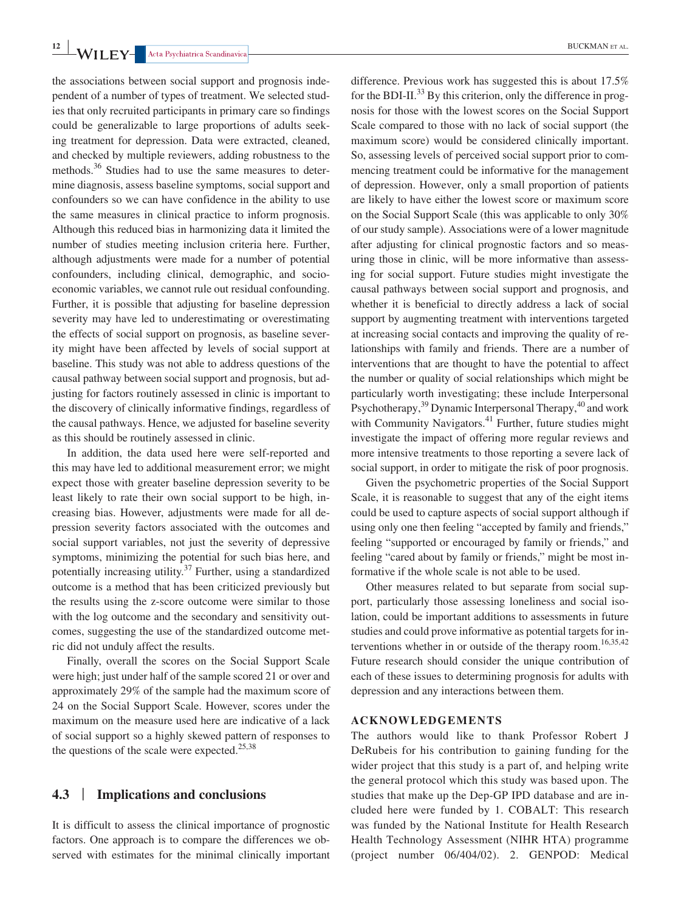the associations between social support and prognosis independent of a number of types of treatment. We selected studies that only recruited participants in primary care so findings could be generalizable to large proportions of adults seeking treatment for depression. Data were extracted, cleaned, and checked by multiple reviewers, adding robustness to the methods.<sup>36</sup> Studies had to use the same measures to determine diagnosis, assess baseline symptoms, social support and confounders so we can have confidence in the ability to use the same measures in clinical practice to inform prognosis. Although this reduced bias in harmonizing data it limited the number of studies meeting inclusion criteria here. Further, although adjustments were made for a number of potential confounders, including clinical, demographic, and socioeconomic variables, we cannot rule out residual confounding. Further, it is possible that adjusting for baseline depression severity may have led to underestimating or overestimating the effects of social support on prognosis, as baseline severity might have been affected by levels of social support at baseline. This study was not able to address questions of the causal pathway between social support and prognosis, but adjusting for factors routinely assessed in clinic is important to the discovery of clinically informative findings, regardless of the causal pathways. Hence, we adjusted for baseline severity as this should be routinely assessed in clinic.

In addition, the data used here were self-reported and this may have led to additional measurement error; we might expect those with greater baseline depression severity to be least likely to rate their own social support to be high, increasing bias. However, adjustments were made for all depression severity factors associated with the outcomes and social support variables, not just the severity of depressive symptoms, minimizing the potential for such bias here, and potentially increasing utility. $37$  Further, using a standardized outcome is a method that has been criticized previously but the results using the z-score outcome were similar to those with the log outcome and the secondary and sensitivity outcomes, suggesting the use of the standardized outcome metric did not unduly affect the results.

Finally, overall the scores on the Social Support Scale were high; just under half of the sample scored 21 or over and approximately 29% of the sample had the maximum score of 24 on the Social Support Scale. However, scores under the maximum on the measure used here are indicative of a lack of social support so a highly skewed pattern of responses to the questions of the scale were expected.<sup>25,38</sup>

#### **4.3** | **Implications and conclusions**

It is difficult to assess the clinical importance of prognostic factors. One approach is to compare the differences we observed with estimates for the minimal clinically important difference. Previous work has suggested this is about 17.5% for the BDI-II.<sup>33</sup> By this criterion, only the difference in prognosis for those with the lowest scores on the Social Support Scale compared to those with no lack of social support (the maximum score) would be considered clinically important. So, assessing levels of perceived social support prior to commencing treatment could be informative for the management of depression. However, only a small proportion of patients are likely to have either the lowest score or maximum score on the Social Support Scale (this was applicable to only 30% of our study sample). Associations were of a lower magnitude after adjusting for clinical prognostic factors and so measuring those in clinic, will be more informative than assessing for social support. Future studies might investigate the causal pathways between social support and prognosis, and whether it is beneficial to directly address a lack of social support by augmenting treatment with interventions targeted at increasing social contacts and improving the quality of relationships with family and friends. There are a number of interventions that are thought to have the potential to affect the number or quality of social relationships which might be particularly worth investigating; these include Interpersonal Psychotherapy, $39$  Dynamic Interpersonal Therapy, $40$  and work with Community Navigators. $41$  Further, future studies might investigate the impact of offering more regular reviews and more intensive treatments to those reporting a severe lack of social support, in order to mitigate the risk of poor prognosis.

Given the psychometric properties of the Social Support Scale, it is reasonable to suggest that any of the eight items could be used to capture aspects of social support although if using only one then feeling "accepted by family and friends," feeling "supported or encouraged by family or friends," and feeling "cared about by family or friends," might be most informative if the whole scale is not able to be used.

Other measures related to but separate from social support, particularly those assessing loneliness and social isolation, could be important additions to assessments in future studies and could prove informative as potential targets for interventions whether in or outside of the therapy room.<sup>16,35,42</sup> Future research should consider the unique contribution of each of these issues to determining prognosis for adults with depression and any interactions between them.

#### **ACKNOWLEDGEMENTS**

The authors would like to thank Professor Robert J DeRubeis for his contribution to gaining funding for the wider project that this study is a part of, and helping write the general protocol which this study was based upon. The studies that make up the Dep-GP IPD database and are included here were funded by 1. COBALT: This research was funded by the National Institute for Health Research Health Technology Assessment (NIHR HTA) programme (project number 06/404/02). 2. GENPOD: Medical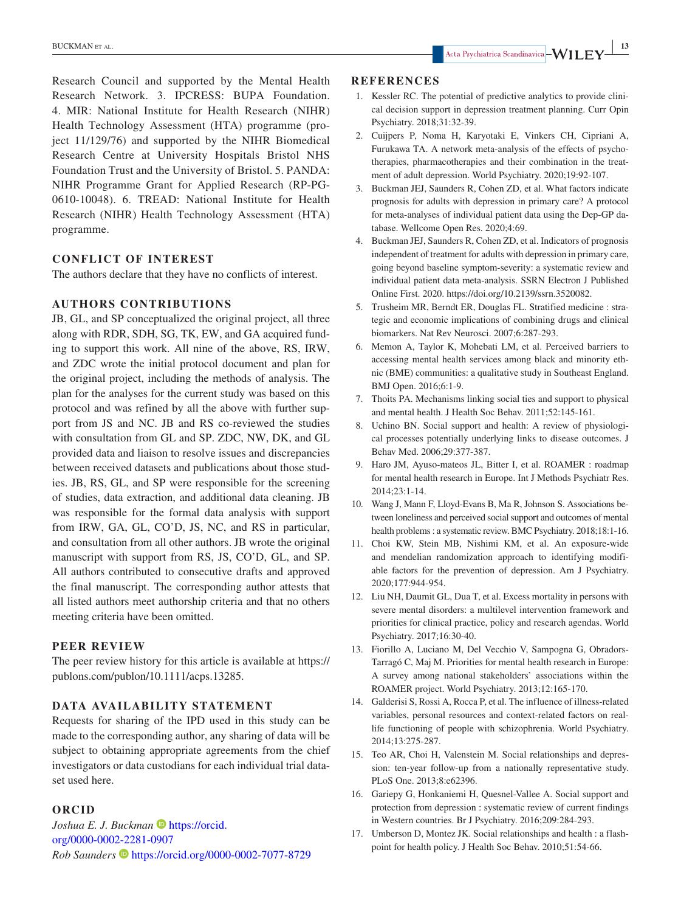Research Council and supported by the Mental Health Research Network. 3. IPCRESS: BUPA Foundation. 4. MIR: National Institute for Health Research (NIHR) Health Technology Assessment (HTA) programme (project 11/129/76) and supported by the NIHR Biomedical Research Centre at University Hospitals Bristol NHS Foundation Trust and the University of Bristol. 5. PANDA: NIHR Programme Grant for Applied Research (RP-PG-0610-10048). 6. TREAD: National Institute for Health Research (NIHR) Health Technology Assessment (HTA) programme.

#### **CONFLICT OF INTEREST**

The authors declare that they have no conflicts of interest.

#### **AUTHORS CONTRIBUTIONS**

JB, GL, and SP conceptualized the original project, all three along with RDR, SDH, SG, TK, EW, and GA acquired funding to support this work. All nine of the above, RS, IRW, and ZDC wrote the initial protocol document and plan for the original project, including the methods of analysis. The plan for the analyses for the current study was based on this protocol and was refined by all the above with further support from JS and NC. JB and RS co-reviewed the studies with consultation from GL and SP. ZDC, NW, DK, and GL provided data and liaison to resolve issues and discrepancies between received datasets and publications about those studies. JB, RS, GL, and SP were responsible for the screening of studies, data extraction, and additional data cleaning. JB was responsible for the formal data analysis with support from IRW, GA, GL, CO'D, JS, NC, and RS in particular, and consultation from all other authors. JB wrote the original manuscript with support from RS, JS, CO'D, GL, and SP. All authors contributed to consecutive drafts and approved the final manuscript. The corresponding author attests that all listed authors meet authorship criteria and that no others meeting criteria have been omitted.

#### **PEER REVIEW**

The peer review history for this article is available at [https://](https://publons.com/publon/10.1111/acps.13285) [publons.com/publon/10.1111/acps.13285.](https://publons.com/publon/10.1111/acps.13285)

### **DATA AVAILABILITY STATEMENT**

Requests for sharing of the IPD used in this study can be made to the corresponding author, any sharing of data will be subject to obtaining appropriate agreements from the chief investigators or data custodians for each individual trial dataset used here.

#### **ORCID**

*Joshua E. J. Buckman* **D** [https://orcid.](https://orcid.org/0000-0002-2281-0907) [org/0000-0002-2281-0907](https://orcid.org/0000-0002-2281-0907) *Rob Saunders* <https://orcid.org/0000-0002-7077-8729>

#### **REFERENCES**

- 1. Kessler RC. The potential of predictive analytics to provide clinical decision support in depression treatment planning. Curr Opin Psychiatry. 2018;31:32-39.
- 2. Cuijpers P, Noma H, Karyotaki E, Vinkers CH, Cipriani A, Furukawa TA. A network meta-analysis of the effects of psychotherapies, pharmacotherapies and their combination in the treatment of adult depression. World Psychiatry. 2020;19:92-107.
- 3. Buckman JEJ, Saunders R, Cohen ZD, et al. What factors indicate prognosis for adults with depression in primary care? A protocol for meta-analyses of individual patient data using the Dep-GP database. Wellcome Open Res. 2020;4:69.
- 4. Buckman JEJ, Saunders R, Cohen ZD, et al. Indicators of prognosis independent of treatment for adults with depression in primary care, going beyond baseline symptom-severity: a systematic review and individual patient data meta-analysis. SSRN Electron J Published Online First. 2020.<https://doi.org/10.2139/ssrn.3520082>.
- 5. Trusheim MR, Berndt ER, Douglas FL. Stratified medicine : strategic and economic implications of combining drugs and clinical biomarkers. Nat Rev Neurosci. 2007;6:287-293.
- 6. Memon A, Taylor K, Mohebati LM, et al. Perceived barriers to accessing mental health services among black and minority ethnic (BME) communities: a qualitative study in Southeast England. BMJ Open. 2016;6:1-9.
- 7. Thoits PA. Mechanisms linking social ties and support to physical and mental health. J Health Soc Behav. 2011;52:145-161.
- 8. Uchino BN. Social support and health: A review of physiological processes potentially underlying links to disease outcomes. J Behav Med. 2006;29:377-387.
- 9. Haro JM, Ayuso-mateos JL, Bitter I, et al. ROAMER : roadmap for mental health research in Europe. Int J Methods Psychiatr Res. 2014;23:1-14.
- 10. Wang J, Mann F, Lloyd-Evans B, Ma R, Johnson S. Associations between loneliness and perceived social support and outcomes of mental health problems : a systematic review. BMC Psychiatry. 2018;18:1-16.
- 11. Choi KW, Stein MB, Nishimi KM, et al. An exposure-wide and mendelian randomization approach to identifying modifiable factors for the prevention of depression. Am J Psychiatry. 2020;177:944-954.
- 12. Liu NH, Daumit GL, Dua T, et al. Excess mortality in persons with severe mental disorders: a multilevel intervention framework and priorities for clinical practice, policy and research agendas. World Psychiatry. 2017;16:30-40.
- 13. Fiorillo A, Luciano M, Del Vecchio V, Sampogna G, Obradors-Tarragó C, Maj M. Priorities for mental health research in Europe: A survey among national stakeholders' associations within the ROAMER project. World Psychiatry. 2013;12:165-170.
- 14. Galderisi S, Rossi A, Rocca P, et al. The influence of illness-related variables, personal resources and context-related factors on reallife functioning of people with schizophrenia. World Psychiatry. 2014;13:275-287.
- 15. Teo AR, Choi H, Valenstein M. Social relationships and depression: ten-year follow-up from a nationally representative study. PLoS One. 2013;8:e62396.
- 16. Gariepy G, Honkaniemi H, Quesnel-Vallee A. Social support and protection from depression : systematic review of current findings in Western countries. Br J Psychiatry. 2016;209:284-293.
- 17. Umberson D, Montez JK. Social relationships and health : a flashpoint for health policy. J Health Soc Behav. 2010;51:54-66.